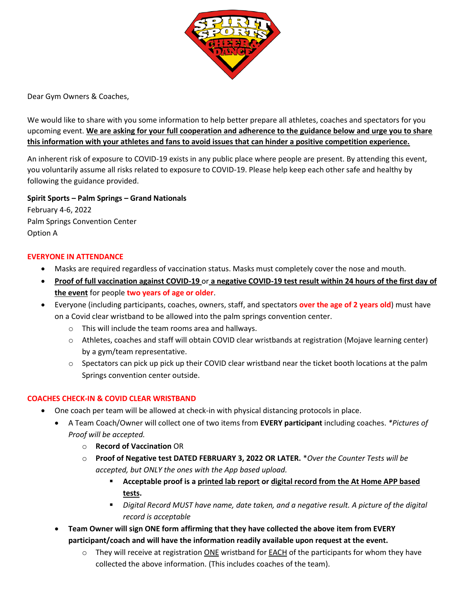

Dear Gym Owners & Coaches,

We would like to share with you some information to help better prepare all athletes, coaches and spectators for you upcoming event. **We are asking for your full cooperation and adherence to the guidance below and urge you to share this information with your athletes and fans to avoid issues that can hinder a positive competition experience.**

An inherent risk of exposure to COVID-19 exists in any public place where people are present. By attending this event, you voluntarily assume all risks related to exposure to COVID-19. Please help keep each other safe and healthy by following the guidance provided.

**Spirit Sports – Palm Springs – Grand Nationals** February 4-6, 2022 Palm Springs Convention Center Option A

## **EVERYONE IN ATTENDANCE**

- Masks are required regardless of vaccination status. Masks must completely cover the nose and mouth.
- **Proof of full vaccination against COVID-19** or **a negative COVID-19 test result within 24 hours of the first day of the event** for people **two years of age or older**.
- Everyone (including participants, coaches, owners, staff, and spectators **over the age of 2 years old**) must have on a Covid clear wristband to be allowed into the palm springs convention center.
	- o This will include the team rooms area and hallways.
	- o Athletes, coaches and staff will obtain COVID clear wristbands at registration (Mojave learning center) by a gym/team representative.
	- $\circ$  Spectators can pick up pick up their COVID clear wristband near the ticket booth locations at the palm Springs convention center outside.

# **COACHES CHECK-IN & COVID CLEAR WRISTBAND**

- One coach per team will be allowed at check-in with physical distancing protocols in place.
	- A Team Coach/Owner will collect one of two items from **EVERY participant** including coaches. *\*Pictures of Proof will be accepted.*
		- o **Record of Vaccination** OR
		- o **Proof of Negative test DATED FEBRUARY 3, 2022 OR LATER.** \**Over the Counter Tests will be accepted, but ONLY the ones with the App based upload.*
			- **Acceptable proof is a printed lab report or digital record from the At Home APP based tests.**
			- *Digital Record MUST have name, date taken, and a negative result. A picture of the digital record is acceptable*
	- **Team Owner will sign ONE form affirming that they have collected the above item from EVERY participant/coach and will have the information readily available upon request at the event.**
		- $\circ$  They will receive at registration ONE wristband for **EACH** of the participants for whom they have collected the above information. (This includes coaches of the team).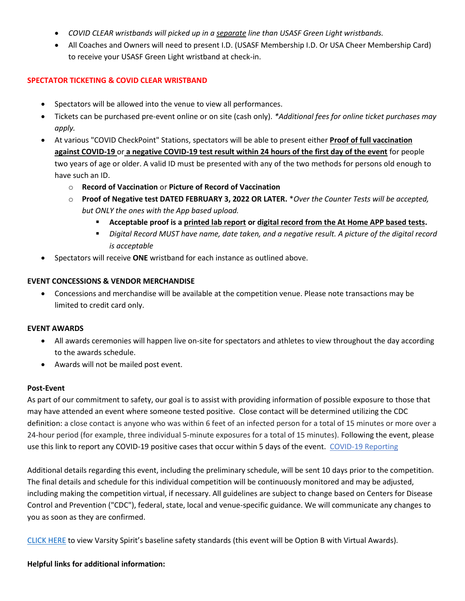- *COVID CLEAR wristbands will picked up in a separate line than USASF Green Light wristbands.*
- All Coaches and Owners will need to present I.D. (USASF Membership I.D. Or USA Cheer Membership Card) to receive your USASF Green Light wristband at check-in.

## **SPECTATOR TICKETING & COVID CLEAR WRISTBAND**

- Spectators will be allowed into the venue to view all performances.
- Tickets can be purchased pre-event online or on site (cash only). *\*Additional fees for online ticket purchases may apply.*
- At various "COVID CheckPoint" Stations, spectators will be able to present either **Proof of full vaccination against COVID-19** or **a negative COVID-19 test result within 24 hours of the first day of the event** for people two years of age or older. A valid ID must be presented with any of the two methods for persons old enough to have such an ID.
	- o **Record of Vaccination** or **Picture of Record of Vaccination**
	- o **Proof of Negative test DATED FEBRUARY 3, 2022 OR LATER.** \**Over the Counter Tests will be accepted, but ONLY the ones with the App based upload.*
		- **Acceptable proof is a printed lab report or digital record from the At Home APP based tests.**
		- *Digital Record MUST have name, date taken, and a negative result. A picture of the digital record is acceptable*
- Spectators will receive **ONE** wristband for each instance as outlined above.

## **EVENT CONCESSIONS & VENDOR MERCHANDISE**

• Concessions and merchandise will be available at the competition venue. Please note transactions may be limited to credit card only.

### **EVENT AWARDS**

- All awards ceremonies will happen live on-site for spectators and athletes to view throughout the day according to the awards schedule.
- Awards will not be mailed post event.

### **Post-Event**

As part of our commitment to safety, our goal is to assist with providing information of possible exposure to those that may have attended an event where someone tested positive. Close contact will be determined utilizing the CDC definition: a close contact is anyone who was within 6 feet of an infected person for a total of 15 minutes or more over a 24-hour period (for example, three individual 5-minute exposures for a total of 15 minutes). Following the event, please use this link to report any COVID-19 positive cases that occur within 5 days of the event. [COVID-19 Reporting](https://nam11.safelinks.protection.outlook.com/?url=https%3A%2F%2Fvarsityspirit.wufoo.com%2Fforms%2Fz1sityka1v9hk5l%2F&data=04%7C01%7Cjloper%40varsity.com%7C1a3246a08fff48858d1008d97f6f878c%7Cf211770eb3bf4850af0aaee4b2ea894e%7C1%7C0%7C637680939257177896%7CUnknown%7CTWFpbGZsb3d8eyJWIjoiMC4wLjAwMDAiLCJQIjoiV2luMzIiLCJBTiI6Ik1haWwiLCJXVCI6Mn0%3D%7C1000&sdata=ZhzQI8BQFh1RJPmf3jr8C5yYQjzcEhLwv%2B87Ma8kRXU%3D&reserved=0)

Additional details regarding this event, including the preliminary schedule, will be sent 10 days prior to the competition. The final details and schedule for this individual competition will be continuously monitored and may be adjusted, including making the competition virtual, if necessary. All guidelines are subject to change based on Centers for Disease Control and Prevention ("CDC"), federal, state, local and venue-specific guidance. We will communicate any changes to you as soon as they are confirmed.

[CLICK HERE](https://www.varsity.com/wp-content/uploads/2021/09/VS_Competitions_COVID_MinimumStandards_21.pdf) to view Varsity Spirit's baseline safety standards (this event will be Option B with Virtual Awards).

### **Helpful links for additional information:**